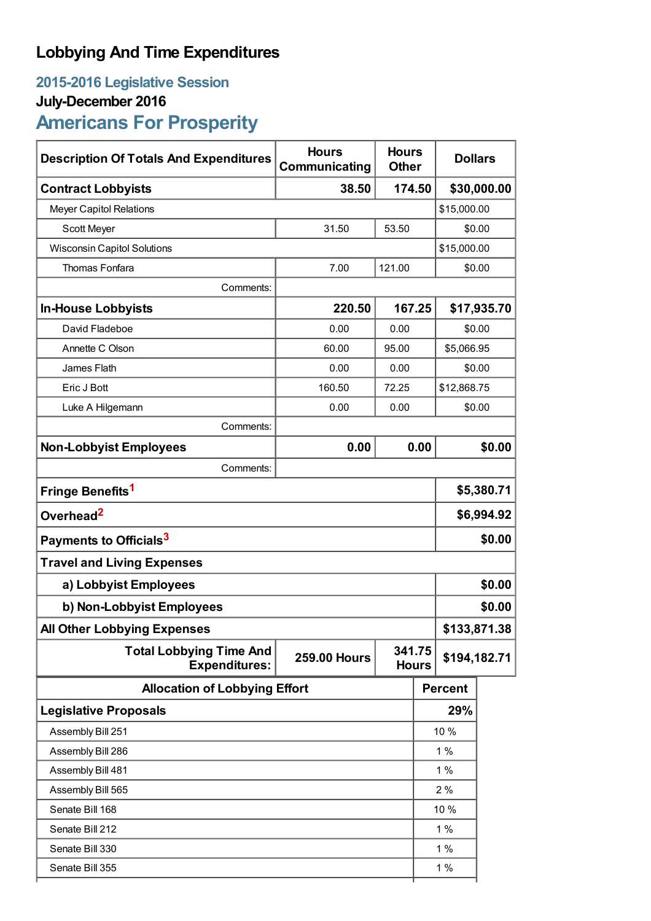## **Lobbying And Time Expenditures**

## **2015-2016 Legislative Session**

## **July-December 2016**

# **Americans For Prosperity**

| <b>Description Of Totals And Expenditures</b>          | <b>Hours</b><br>Communicating | <b>Hours</b><br><b>Dollars</b><br><b>Other</b> |                       |                |              |  |
|--------------------------------------------------------|-------------------------------|------------------------------------------------|-----------------------|----------------|--------------|--|
| <b>Contract Lobbyists</b>                              | 38.50                         | 174.50                                         |                       | \$30,000.00    |              |  |
| <b>Meyer Capitol Relations</b>                         |                               |                                                | \$15,000.00           |                |              |  |
| Scott Meyer                                            | 31.50                         | 53.50                                          |                       | \$0.00         |              |  |
| <b>Wisconsin Capitol Solutions</b>                     |                               |                                                |                       | \$15,000.00    |              |  |
| <b>Thomas Fonfara</b>                                  | 7.00                          | 121.00                                         |                       |                | \$0.00       |  |
| Comments:                                              |                               |                                                |                       |                |              |  |
| <b>In-House Lobbyists</b>                              | 220.50                        |                                                | 167.25<br>\$17,935.70 |                |              |  |
| David Fladeboe                                         | 0.00                          | 0.00                                           |                       | \$0.00         |              |  |
| Annette C Olson                                        | 60.00                         | 95.00                                          | \$5,066.95            |                |              |  |
| James Flath                                            | 0.00                          | 0.00                                           |                       |                | \$0.00       |  |
| Eric J Bott                                            | 160.50                        | 72.25                                          | \$12,868.75           |                |              |  |
| Luke A Hilgemann                                       | 0.00                          | 0.00                                           | \$0.00                |                |              |  |
| Comments:                                              |                               |                                                |                       |                |              |  |
| <b>Non-Lobbyist Employees</b>                          | 0.00                          |                                                | 0.00                  |                | \$0.00       |  |
| Comments:                                              |                               |                                                |                       |                |              |  |
| Fringe Benefits <sup>1</sup>                           |                               |                                                |                       | \$5,380.71     |              |  |
| Overhead <sup>2</sup>                                  |                               |                                                |                       | \$6,994.92     |              |  |
| Payments to Officials <sup>3</sup>                     |                               |                                                |                       | \$0.00         |              |  |
| <b>Travel and Living Expenses</b>                      |                               |                                                |                       |                |              |  |
| a) Lobbyist Employees                                  |                               |                                                |                       | \$0.00         |              |  |
| b) Non-Lobbyist Employees                              |                               |                                                |                       | \$0.00         |              |  |
| <b>All Other Lobbying Expenses</b>                     |                               |                                                |                       |                | \$133,871.38 |  |
| <b>Total Lobbying Time And</b><br><b>Expenditures:</b> | <b>259.00 Hours</b>           | 341.75<br><b>Hours</b>                         |                       | \$194,182.71   |              |  |
| <b>Allocation of Lobbying Effort</b>                   |                               |                                                |                       | <b>Percent</b> |              |  |
| <b>Legislative Proposals</b>                           |                               |                                                |                       | 29%            |              |  |
| Assembly Bill 251                                      |                               |                                                |                       | 10 %           |              |  |
| Assembly Bill 286                                      |                               |                                                |                       | 1%             |              |  |
| Assembly Bill 481                                      |                               |                                                |                       | 1%             |              |  |
| Assembly Bill 565                                      |                               |                                                |                       | 2%             |              |  |
| Senate Bill 168                                        |                               |                                                |                       | 10 %           |              |  |
| Senate Bill 212                                        |                               |                                                |                       | 1%             |              |  |
| Senate Bill 330                                        |                               |                                                |                       | 1%             |              |  |
| Senate Bill 355                                        |                               |                                                |                       | 1%             |              |  |